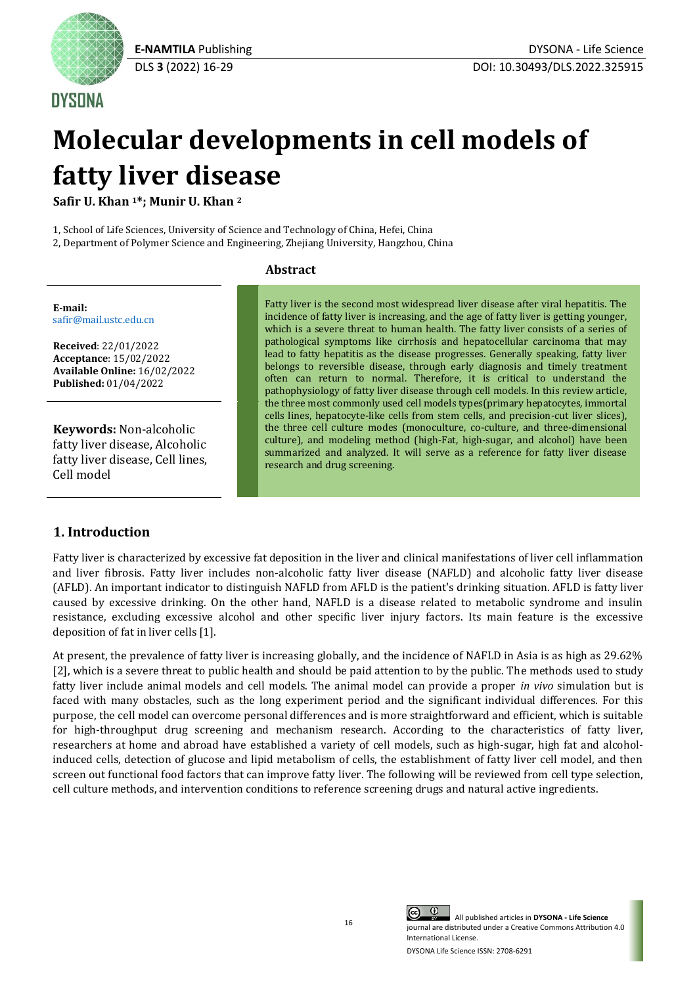

**DYSONA** 

# **Molecular developments in cell models of fatty liver disease**

**Safir U. Khan <sup>1</sup>\*; Munir U. Khan <sup>2</sup>**

1, School of Life Sciences, University of Science and Technology of China, Hefei, China

2, Department of Polymer Science and Engineering, Zhejiang University, Hangzhou, China

# **Abstract**

**E-mail:** [safir@mail.ustc.edu.cn](mailto:safir@mail.ustc.edu.cn)

**Received**: 22/01/2022 **Acceptance**: 15/02/2022 **Available Online:** 16/02/2022 **Published:** 01/04/2022

**Keywords:** Non-alcoholic fatty liver disease, Alcoholic fatty liver disease, Cell lines, Cell model

# **1. Introduction**

Fatty liver is the second most widespread liver disease after viral hepatitis. The incidence of fatty liver is increasing, and the age of fatty liver is getting younger, which is a severe threat to human health. The fatty liver consists of a series of pathological symptoms like cirrhosis and hepatocellular carcinoma that may lead to fatty hepatitis as the disease progresses. Generally speaking, fatty liver belongs to reversible disease, through early diagnosis and timely treatment often can return to normal. Therefore, it is critical to understand the pathophysiology of fatty liver disease through cell models. In this review article, the three most commonly used cell models types(primary hepatocytes, immortal cells lines, hepatocyte-like cells from stem cells, and precision-cut liver slices), the three cell culture modes (monoculture, co-culture, and three-dimensional culture), and modeling method (high-Fat, high-sugar, and alcohol) have been summarized and analyzed. It will serve as a reference for fatty liver disease research and drug screening.

Fatty liver is characterized by excessive fat deposition in the liver and clinical manifestations of liver cell inflammation and liver fibrosis. Fatty liver includes non-alcoholic fatty liver disease (NAFLD) and alcoholic fatty liver disease (AFLD). An important indicator to distinguish NAFLD from AFLD is the patient's drinking situation. AFLD is fatty liver caused by excessive drinking. On the other hand, NAFLD is a disease related to metabolic syndrome and insulin resistance, excluding excessive alcohol and other specific liver injury factors. Its main feature is the excessive deposition of fat in liver cells [1].

At present, the prevalence of fatty liver is increasing globally, and the incidence of NAFLD in Asia is as high as 29.62% [2], which is a severe threat to public health and should be paid attention to by the public. The methods used to study fatty liver include animal models and cell models. The animal model can provide a proper *in vivo* simulation but is faced with many obstacles, such as the long experiment period and the significant individual differences. For this purpose, the cell model can overcome personal differences and is more straightforward and efficient, which is suitable for high-throughput drug screening and mechanism research. According to the characteristics of fatty liver, researchers at home and abroad have established a variety of cell models, such as high-sugar, high fat and alcoholinduced cells, detection of glucose and lipid metabolism of cells, the establishment of fatty liver cell model, and then screen out functional food factors that can improve fatty liver. The following will be reviewed from cell type selection, cell culture methods, and intervention conditions to reference screening drugs and natural active ingredients.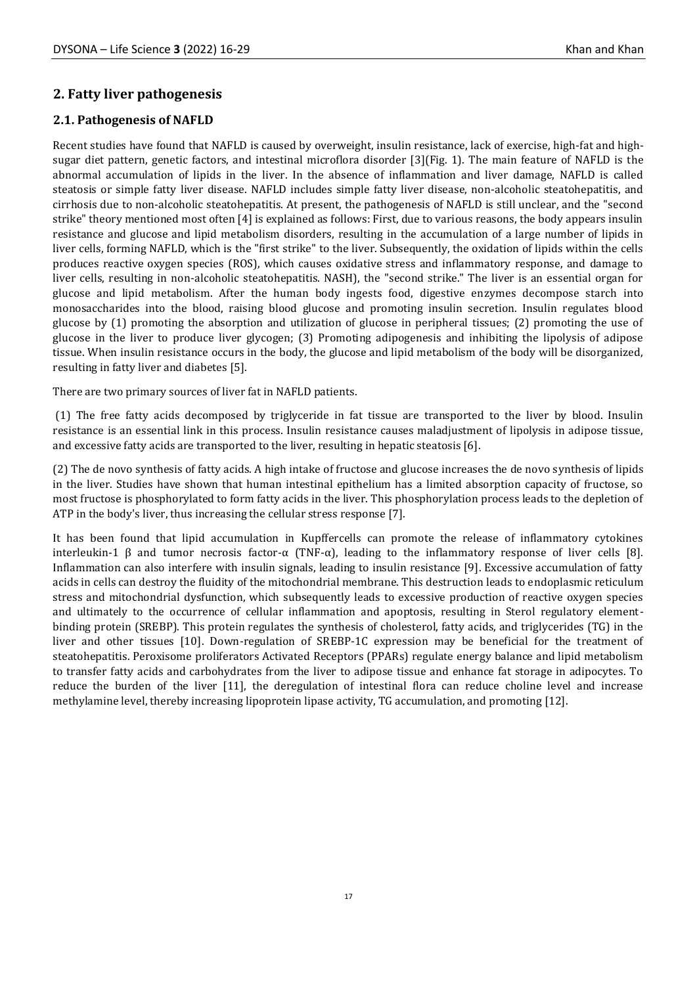# **2. Fatty liver pathogenesis**

# **2.1. Pathogenesis of NAFLD**

Recent studies have found that NAFLD is caused by overweight, insulin resistance, lack of exercise, high-fat and highsugar diet pattern, genetic factors, and intestinal microflora disorder [3](Fig. 1). The main feature of NAFLD is the abnormal accumulation of lipids in the liver. In the absence of inflammation and liver damage, NAFLD is called steatosis or simple fatty liver disease. NAFLD includes simple fatty liver disease, non-alcoholic steatohepatitis, and cirrhosis due to non-alcoholic steatohepatitis. At present, the pathogenesis of NAFLD is still unclear, and the "second strike" theory mentioned most often [4] is explained as follows: First, due to various reasons, the body appears insulin resistance and glucose and lipid metabolism disorders, resulting in the accumulation of a large number of lipids in liver cells, forming NAFLD, which is the "first strike" to the liver. Subsequently, the oxidation of lipids within the cells produces reactive oxygen species (ROS), which causes oxidative stress and inflammatory response, and damage to liver cells, resulting in non-alcoholic steatohepatitis. NASH), the "second strike." The liver is an essential organ for glucose and lipid metabolism. After the human body ingests food, digestive enzymes decompose starch into monosaccharides into the blood, raising blood glucose and promoting insulin secretion. Insulin regulates blood glucose by (1) promoting the absorption and utilization of glucose in peripheral tissues; (2) promoting the use of glucose in the liver to produce liver glycogen; (3) Promoting adipogenesis and inhibiting the lipolysis of adipose tissue. When insulin resistance occurs in the body, the glucose and lipid metabolism of the body will be disorganized, resulting in fatty liver and diabetes [5].

There are two primary sources of liver fat in NAFLD patients.

(1) The free fatty acids decomposed by triglyceride in fat tissue are transported to the liver by blood. Insulin resistance is an essential link in this process. Insulin resistance causes maladjustment of lipolysis in adipose tissue, and excessive fatty acids are transported to the liver, resulting in hepatic steatosis [6].

(2) The de novo synthesis of fatty acids. A high intake of fructose and glucose increases the de novo synthesis of lipids in the liver. Studies have shown that human intestinal epithelium has a limited absorption capacity of fructose, so most fructose is phosphorylated to form fatty acids in the liver. This phosphorylation process leads to the depletion of ATP in the body's liver, thus increasing the cellular stress response [7].

It has been found that lipid accumulation in Kupffercells can promote the release of inflammatory cytokines interleukin-1 β and tumor necrosis factor-α (TNF-α), leading to the inflammatory response of liver cells [8]. Inflammation can also interfere with insulin signals, leading to insulin resistance [9]. Excessive accumulation of fatty acids in cells can destroy the fluidity of the mitochondrial membrane. This destruction leads to endoplasmic reticulum stress and mitochondrial dysfunction, which subsequently leads to excessive production of reactive oxygen species and ultimately to the occurrence of cellular inflammation and apoptosis, resulting in Sterol regulatory elementbinding protein (SREBP). This protein regulates the synthesis of cholesterol, fatty acids, and triglycerides (TG) in the liver and other tissues [10]. Down-regulation of SREBP-1C expression may be beneficial for the treatment of steatohepatitis. Peroxisome proliferators Activated Receptors (PPARs) regulate energy balance and lipid metabolism to transfer fatty acids and carbohydrates from the liver to adipose tissue and enhance fat storage in adipocytes. To reduce the burden of the liver [11], the deregulation of intestinal flora can reduce choline level and increase methylamine level, thereby increasing lipoprotein lipase activity, TG accumulation, and promoting [12].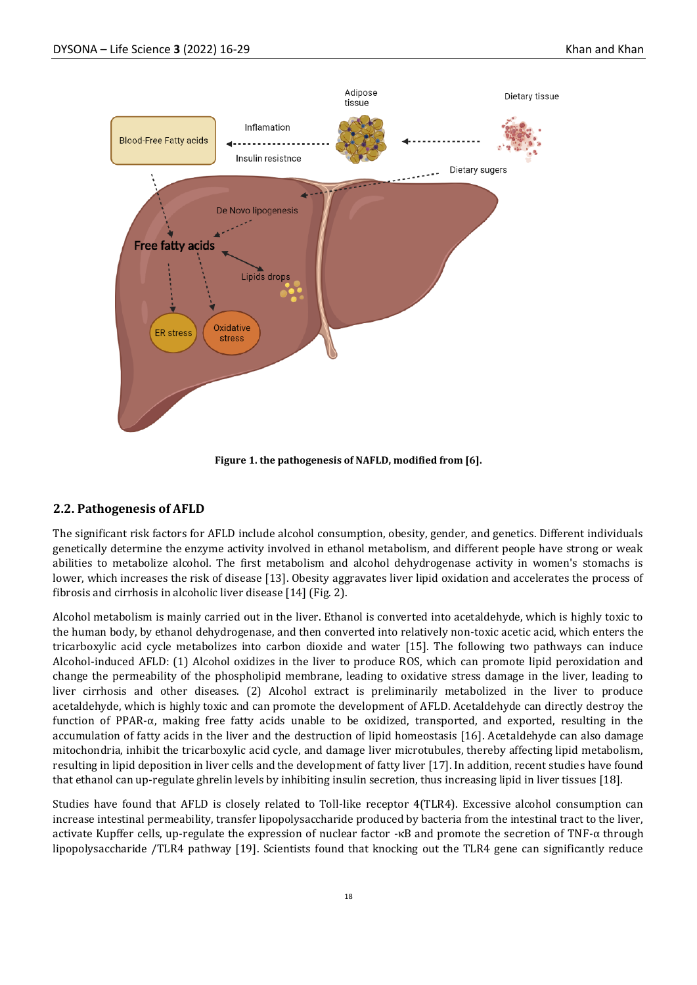

**Figure 1. the pathogenesis of NAFLD, modified from [6].**

#### **2.2. Pathogenesis of AFLD**

The significant risk factors for AFLD include alcohol consumption, obesity, gender, and genetics. Different individuals genetically determine the enzyme activity involved in ethanol metabolism, and different people have strong or weak abilities to metabolize alcohol. The first metabolism and alcohol dehydrogenase activity in women's stomachs is lower, which increases the risk of disease [13]. Obesity aggravates liver lipid oxidation and accelerates the process of fibrosis and cirrhosis in alcoholic liver disease [14] (Fig. 2).

Alcohol metabolism is mainly carried out in the liver. Ethanol is converted into acetaldehyde, which is highly toxic to the human body, by ethanol dehydrogenase, and then converted into relatively non-toxic acetic acid, which enters the tricarboxylic acid cycle metabolizes into carbon dioxide and water [15]. The following two pathways can induce Alcohol-induced AFLD: (1) Alcohol oxidizes in the liver to produce ROS, which can promote lipid peroxidation and change the permeability of the phospholipid membrane, leading to oxidative stress damage in the liver, leading to liver cirrhosis and other diseases. (2) Alcohol extract is preliminarily metabolized in the liver to produce acetaldehyde, which is highly toxic and can promote the development of AFLD. Acetaldehyde can directly destroy the function of PPAR-α, making free fatty acids unable to be oxidized, transported, and exported, resulting in the accumulation of fatty acids in the liver and the destruction of lipid homeostasis [16]. Acetaldehyde can also damage mitochondria, inhibit the tricarboxylic acid cycle, and damage liver microtubules, thereby affecting lipid metabolism, resulting in lipid deposition in liver cells and the development of fatty liver [17]. In addition, recent studies have found that ethanol can up-regulate ghrelin levels by inhibiting insulin secretion, thus increasing lipid in liver tissues [18].

Studies have found that AFLD is closely related to Toll-like receptor 4(TLR4). Excessive alcohol consumption can increase intestinal permeability, transfer lipopolysaccharide produced by bacteria from the intestinal tract to the liver, activate Kupffer cells, up-regulate the expression of nuclear factor -κB and promote the secretion of TNF-α through lipopolysaccharide /TLR4 pathway [19]. Scientists found that knocking out the TLR4 gene can significantly reduce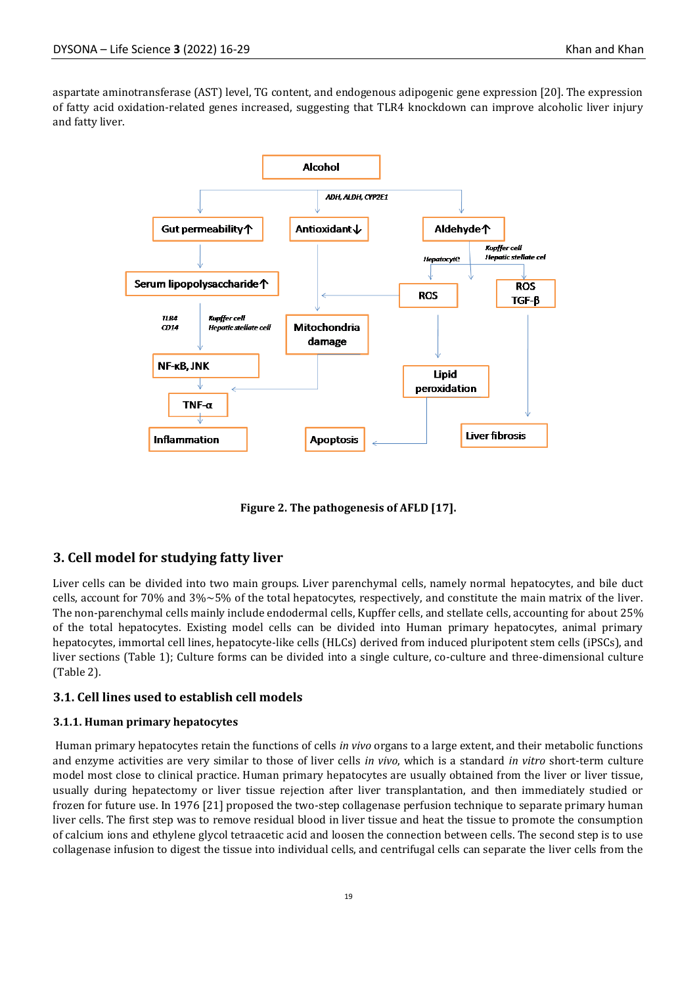aspartate aminotransferase (AST) level, TG content, and endogenous adipogenic gene expression [20]. The expression of fatty acid oxidation-related genes increased, suggesting that TLR4 knockdown can improve alcoholic liver injury and fatty liver.



**Figure 2. The pathogenesis of AFLD [17].**

#### **3. Cell model for studying fatty liver**

Liver cells can be divided into two main groups. Liver parenchymal cells, namely normal hepatocytes, and bile duct cells, account for 70% and  $3\% \sim 5\%$  of the total hepatocytes, respectively, and constitute the main matrix of the liver. The non-parenchymal cells mainly include endodermal cells, Kupffer cells, and stellate cells, accounting for about 25% of the total hepatocytes. Existing model cells can be divided into Human primary hepatocytes, animal primary hepatocytes, immortal cell lines, hepatocyte-like cells (HLCs) derived from induced pluripotent stem cells (iPSCs), and liver sections (Table 1); Culture forms can be divided into a single culture, co-culture and three-dimensional culture (Table 2).

#### **3.1. Cell lines used to establish cell models**

#### **3.1.1. Human primary hepatocytes**

Human primary hepatocytes retain the functions of cells *in vivo* organs to a large extent, and their metabolic functions and enzyme activities are very similar to those of liver cells *in vivo*, which is a standard *in vitro* short-term culture model most close to clinical practice. Human primary hepatocytes are usually obtained from the liver or liver tissue, usually during hepatectomy or liver tissue rejection after liver transplantation, and then immediately studied or frozen for future use. In 1976 [21] proposed the two-step collagenase perfusion technique to separate primary human liver cells. The first step was to remove residual blood in liver tissue and heat the tissue to promote the consumption of calcium ions and ethylene glycol tetraacetic acid and loosen the connection between cells. The second step is to use collagenase infusion to digest the tissue into individual cells, and centrifugal cells can separate the liver cells from the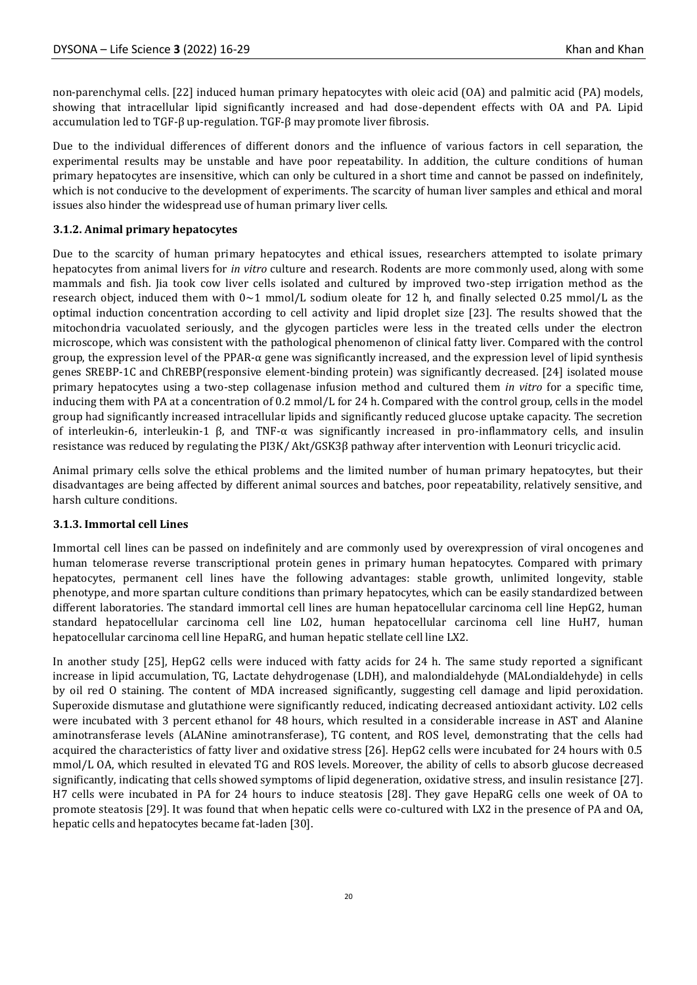non-parenchymal cells. [22] induced human primary hepatocytes with oleic acid (OA) and palmitic acid (PA) models, showing that intracellular lipid significantly increased and had dose-dependent effects with OA and PA. Lipid accumulation led to TGF-β up-regulation. TGF-β may promote liver fibrosis.

Due to the individual differences of different donors and the influence of various factors in cell separation, the experimental results may be unstable and have poor repeatability. In addition, the culture conditions of human primary hepatocytes are insensitive, which can only be cultured in a short time and cannot be passed on indefinitely, which is not conducive to the development of experiments. The scarcity of human liver samples and ethical and moral issues also hinder the widespread use of human primary liver cells.

### **3.1.2. Animal primary hepatocytes**

Due to the scarcity of human primary hepatocytes and ethical issues, researchers attempted to isolate primary hepatocytes from animal livers for *in vitro* culture and research. Rodents are more commonly used, along with some mammals and fish. Jia took cow liver cells isolated and cultured by improved two-step irrigation method as the research object, induced them with  $0\sim1$  mmol/L sodium oleate for 12 h, and finally selected 0.25 mmol/L as the optimal induction concentration according to cell activity and lipid droplet size [23]. The results showed that the mitochondria vacuolated seriously, and the glycogen particles were less in the treated cells under the electron microscope, which was consistent with the pathological phenomenon of clinical fatty liver. Compared with the control group, the expression level of the PPAR- $\alpha$  gene was significantly increased, and the expression level of lipid synthesis genes SREBP-1C and ChREBP(responsive element-binding protein) was significantly decreased. [24] isolated mouse primary hepatocytes using a two-step collagenase infusion method and cultured them *in vitro* for a specific time, inducing them with PA at a concentration of 0.2 mmol/L for 24 h. Compared with the control group, cells in the model group had significantly increased intracellular lipids and significantly reduced glucose uptake capacity. The secretion of interleukin-6, interleukin-1 β, and TNF-α was significantly increased in pro-inflammatory cells, and insulin resistance was reduced by regulating the PI3K/ Akt/GSK3β pathway after intervention with Leonuri tricyclic acid.

Animal primary cells solve the ethical problems and the limited number of human primary hepatocytes, but their disadvantages are being affected by different animal sources and batches, poor repeatability, relatively sensitive, and harsh culture conditions.

#### **3.1.3. Immortal cell Lines**

Immortal cell lines can be passed on indefinitely and are commonly used by overexpression of viral oncogenes and human telomerase reverse transcriptional protein genes in primary human hepatocytes. Compared with primary hepatocytes, permanent cell lines have the following advantages: stable growth, unlimited longevity, stable phenotype, and more spartan culture conditions than primary hepatocytes, which can be easily standardized between different laboratories. The standard immortal cell lines are human hepatocellular carcinoma cell line HepG2, human standard hepatocellular carcinoma cell line L02, human hepatocellular carcinoma cell line HuH7, human hepatocellular carcinoma cell line HepaRG, and human hepatic stellate cell line LX2.

In another study [25], HepG2 cells were induced with fatty acids for 24 h. The same study reported a significant increase in lipid accumulation, TG, Lactate dehydrogenase (LDH), and malondialdehyde (MALondialdehyde) in cells by oil red O staining. The content of MDA increased significantly, suggesting cell damage and lipid peroxidation. Superoxide dismutase and glutathione were significantly reduced, indicating decreased antioxidant activity. L02 cells were incubated with 3 percent ethanol for 48 hours, which resulted in a considerable increase in AST and Alanine aminotransferase levels (ALANine aminotransferase), TG content, and ROS level, demonstrating that the cells had acquired the characteristics of fatty liver and oxidative stress [26]. HepG2 cells were incubated for 24 hours with 0.5 mmol/L OA, which resulted in elevated TG and ROS levels. Moreover, the ability of cells to absorb glucose decreased significantly, indicating that cells showed symptoms of lipid degeneration, oxidative stress, and insulin resistance [27]. H7 cells were incubated in PA for 24 hours to induce steatosis [28]. They gave HepaRG cells one week of OA to promote steatosis [29]. It was found that when hepatic cells were co-cultured with LX2 in the presence of PA and OA, hepatic cells and hepatocytes became fat-laden [30].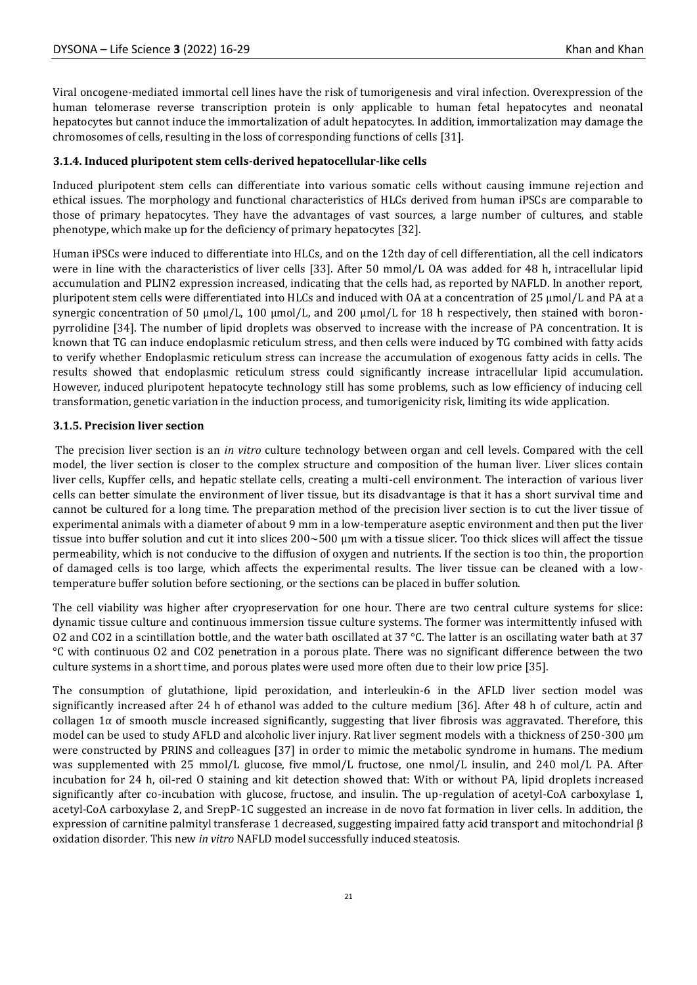Viral oncogene-mediated immortal cell lines have the risk of tumorigenesis and viral infection. Overexpression of the human telomerase reverse transcription protein is only applicable to human fetal hepatocytes and neonatal hepatocytes but cannot induce the immortalization of adult hepatocytes. In addition, immortalization may damage the chromosomes of cells, resulting in the loss of corresponding functions of cells [31].

# **3.1.4. Induced pluripotent stem cells-derived hepatocellular-like cells**

Induced pluripotent stem cells can differentiate into various somatic cells without causing immune rejection and ethical issues. The morphology and functional characteristics of HLCs derived from human iPSCs are comparable to those of primary hepatocytes. They have the advantages of vast sources, a large number of cultures, and stable phenotype, which make up for the deficiency of primary hepatocytes [32].

Human iPSCs were induced to differentiate into HLCs, and on the 12th day of cell differentiation, all the cell indicators were in line with the characteristics of liver cells [33]. After 50 mmol/L OA was added for 48 h, intracellular lipid accumulation and PLIN2 expression increased, indicating that the cells had, as reported by NAFLD. In another report, pluripotent stem cells were differentiated into HLCs and induced with OA at a concentration of 25 µmol/L and PA at a synergic concentration of 50 µmol/L, 100 µmol/L, and 200 µmol/L for 18 h respectively, then stained with boronpyrrolidine [34]. The number of lipid droplets was observed to increase with the increase of PA concentration. It is known that TG can induce endoplasmic reticulum stress, and then cells were induced by TG combined with fatty acids to verify whether Endoplasmic reticulum stress can increase the accumulation of exogenous fatty acids in cells. The results showed that endoplasmic reticulum stress could significantly increase intracellular lipid accumulation. However, induced pluripotent hepatocyte technology still has some problems, such as low efficiency of inducing cell transformation, genetic variation in the induction process, and tumorigenicity risk, limiting its wide application.

#### **3.1.5. Precision liver section**

The precision liver section is an *in vitro* culture technology between organ and cell levels. Compared with the cell model, the liver section is closer to the complex structure and composition of the human liver. Liver slices contain liver cells, Kupffer cells, and hepatic stellate cells, creating a multi-cell environment. The interaction of various liver cells can better simulate the environment of liver tissue, but its disadvantage is that it has a short survival time and cannot be cultured for a long time. The preparation method of the precision liver section is to cut the liver tissue of experimental animals with a diameter of about 9 mm in a low-temperature aseptic environment and then put the liver tissue into buffer solution and cut it into slices  $200 \sim 500$  µm with a tissue slicer. Too thick slices will affect the tissue permeability, which is not conducive to the diffusion of oxygen and nutrients. If the section is too thin, the proportion of damaged cells is too large, which affects the experimental results. The liver tissue can be cleaned with a lowtemperature buffer solution before sectioning, or the sections can be placed in buffer solution.

The cell viability was higher after cryopreservation for one hour. There are two central culture systems for slice: dynamic tissue culture and continuous immersion tissue culture systems. The former was intermittently infused with O2 and CO2 in a scintillation bottle, and the water bath oscillated at 37 °C. The latter is an oscillating water bath at 37 °C with continuous O2 and CO2 penetration in a porous plate. There was no significant difference between the two culture systems in a short time, and porous plates were used more often due to their low price [35].

The consumption of glutathione, lipid peroxidation, and interleukin-6 in the AFLD liver section model was significantly increased after 24 h of ethanol was added to the culture medium [36]. After 48 h of culture, actin and collagen 1 $\alpha$  of smooth muscle increased significantly, suggesting that liver fibrosis was aggravated. Therefore, this model can be used to study AFLD and alcoholic liver injury. Rat liver segment models with a thickness of 250-300 μm were constructed by PRINS and colleagues [37] in order to mimic the metabolic syndrome in humans. The medium was supplemented with 25 mmol/L glucose, five mmol/L fructose, one nmol/L insulin, and 240 mol/L PA. After incubation for 24 h, oil-red O staining and kit detection showed that: With or without PA, lipid droplets increased significantly after co-incubation with glucose, fructose, and insulin. The up-regulation of acetyl-CoA carboxylase 1, acetyl-CoA carboxylase 2, and SrepP-1C suggested an increase in de novo fat formation in liver cells. In addition, the expression of carnitine palmityl transferase 1 decreased, suggesting impaired fatty acid transport and mitochondrial  $β$ oxidation disorder. This new *in vitro* NAFLD model successfully induced steatosis.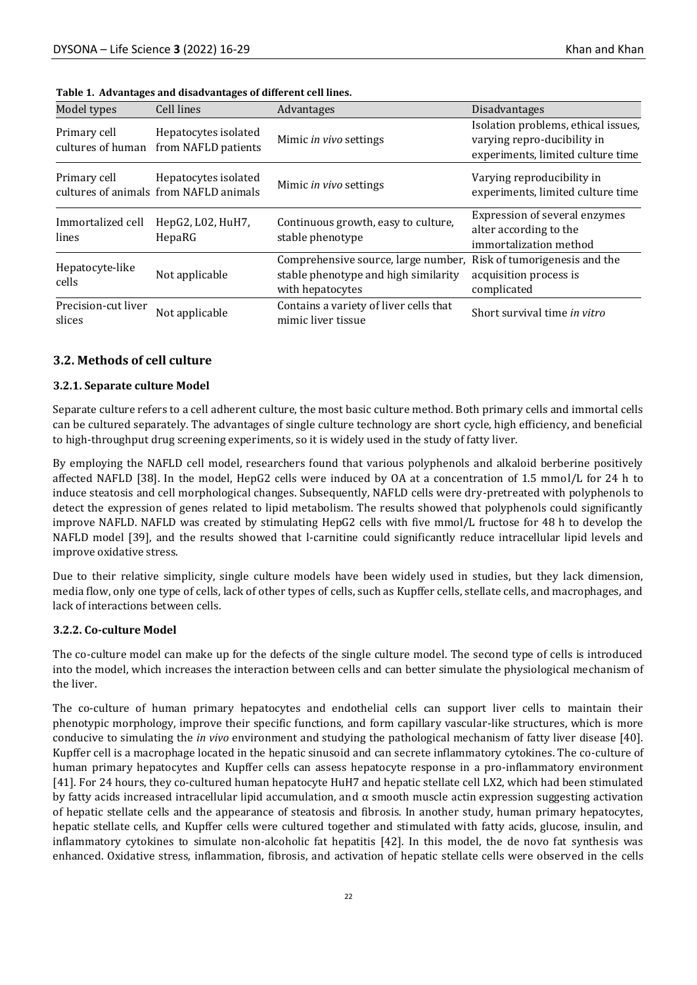| Model types                       | Cell lines                                                     | Advantages                                                                                      | <b>Disadvantages</b>                                                                                    |  |
|-----------------------------------|----------------------------------------------------------------|-------------------------------------------------------------------------------------------------|---------------------------------------------------------------------------------------------------------|--|
| Primary cell<br>cultures of human | Hepatocytes isolated<br>from NAFLD patients                    | Mimic in vivo settings                                                                          | Isolation problems, ethical issues,<br>varying repro-ducibility in<br>experiments, limited culture time |  |
| Primary cell                      | Hepatocytes isolated<br>cultures of animals from NAFLD animals | Mimic in vivo settings                                                                          | Varying reproducibility in<br>experiments, limited culture time                                         |  |
| Immortalized cell<br>lines        | HepG2, L02, HuH7,<br>HepaRG                                    | Continuous growth, easy to culture,<br>stable phenotype                                         | Expression of several enzymes<br>alter according to the<br>immortalization method                       |  |
| Hepatocyte-like<br>cells          | Not applicable                                                 | Comprehensive source, large number,<br>stable phenotype and high similarity<br>with hepatocytes | Risk of tumorigenesis and the<br>acquisition process is<br>complicated                                  |  |
| Precision-cut liver<br>slices     | Not applicable                                                 | Contains a variety of liver cells that<br>mimic liver tissue                                    | Short survival time in vitro                                                                            |  |

|  |  |  | Table 1. Advantages and disadvantages of different cell lines. |
|--|--|--|----------------------------------------------------------------|
|--|--|--|----------------------------------------------------------------|

#### **3.2. Methods of cell culture**

#### **3.2.1. Separate culture Model**

Separate culture refers to a cell adherent culture, the most basic culture method. Both primary cells and immortal cells can be cultured separately. The advantages of single culture technology are short cycle, high efficiency, and beneficial to high-throughput drug screening experiments, so it is widely used in the study of fatty liver.

By employing the NAFLD cell model, researchers found that various polyphenols and alkaloid berberine positively affected NAFLD [38]. In the model, HepG2 cells were induced by OA at a concentration of 1.5 mmol/L for 24 h to induce steatosis and cell morphological changes. Subsequently, NAFLD cells were dry-pretreated with polyphenols to detect the expression of genes related to lipid metabolism. The results showed that polyphenols could significantly improve NAFLD. NAFLD was created by stimulating HepG2 cells with five mmol/L fructose for 48 h to develop the NAFLD model [39], and the results showed that l-carnitine could significantly reduce intracellular lipid levels and improve oxidative stress.

Due to their relative simplicity, single culture models have been widely used in studies, but they lack dimension, media flow, only one type of cells, lack of other types of cells, such as Kupffer cells, stellate cells, and macrophages, and lack of interactions between cells.

#### **3.2.2. Co-culture Model**

The co-culture model can make up for the defects of the single culture model. The second type of cells is introduced into the model, which increases the interaction between cells and can better simulate the physiological mechanism of the liver.

The co-culture of human primary hepatocytes and endothelial cells can support liver cells to maintain their phenotypic morphology, improve their specific functions, and form capillary vascular-like structures, which is more conducive to simulating the *in vivo* environment and studying the pathological mechanism of fatty liver disease [40]. Kupffer cell is a macrophage located in the hepatic sinusoid and can secrete inflammatory cytokines. The co-culture of human primary hepatocytes and Kupffer cells can assess hepatocyte response in a pro-inflammatory environment [41]. For 24 hours, they co-cultured human hepatocyte HuH7 and hepatic stellate cell LX2, which had been stimulated by fatty acids increased intracellular lipid accumulation, and  $\alpha$  smooth muscle actin expression suggesting activation of hepatic stellate cells and the appearance of steatosis and fibrosis. In another study, human primary hepatocytes, hepatic stellate cells, and Kupffer cells were cultured together and stimulated with fatty acids, glucose, insulin, and inflammatory cytokines to simulate non-alcoholic fat hepatitis [42]. In this model, the de novo fat synthesis was enhanced. Oxidative stress, inflammation, fibrosis, and activation of hepatic stellate cells were observed in the cells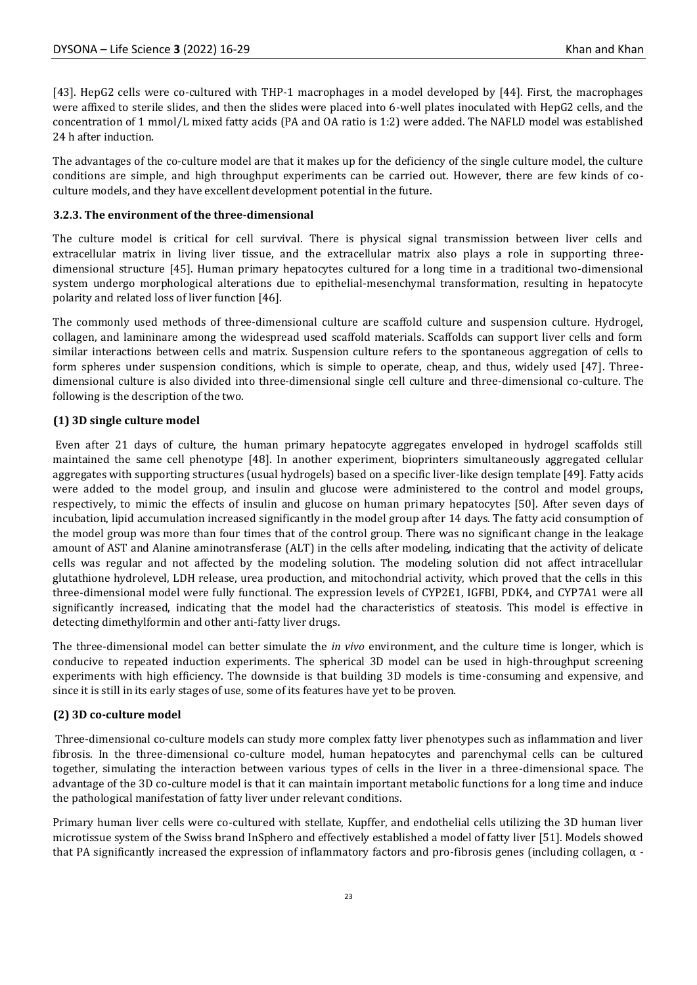[43]. HepG2 cells were co-cultured with THP-1 macrophages in a model developed by [44]. First, the macrophages were affixed to sterile slides, and then the slides were placed into 6-well plates inoculated with HepG2 cells, and the concentration of 1 mmol/L mixed fatty acids (PA and OA ratio is 1:2) were added. The NAFLD model was established 24 h after induction.

The advantages of the co-culture model are that it makes up for the deficiency of the single culture model, the culture conditions are simple, and high throughput experiments can be carried out. However, there are few kinds of coculture models, and they have excellent development potential in the future.

#### **3.2.3. The environment of the three-dimensional**

The culture model is critical for cell survival. There is physical signal transmission between liver cells and extracellular matrix in living liver tissue, and the extracellular matrix also plays a role in supporting threedimensional structure [45]. Human primary hepatocytes cultured for a long time in a traditional two-dimensional system undergo morphological alterations due to epithelial-mesenchymal transformation, resulting in hepatocyte polarity and related loss of liver function [46].

The commonly used methods of three-dimensional culture are scaffold culture and suspension culture. Hydrogel, collagen, and lamininare among the widespread used scaffold materials. Scaffolds can support liver cells and form similar interactions between cells and matrix. Suspension culture refers to the spontaneous aggregation of cells to form spheres under suspension conditions, which is simple to operate, cheap, and thus, widely used [47]. Threedimensional culture is also divided into three-dimensional single cell culture and three-dimensional co-culture. The following is the description of the two.

#### **(1) 3D single culture model**

Even after 21 days of culture, the human primary hepatocyte aggregates enveloped in hydrogel scaffolds still maintained the same cell phenotype [48]. In another experiment, bioprinters simultaneously aggregated cellular aggregates with supporting structures (usual hydrogels) based on a specific liver-like design template [49]. Fatty acids were added to the model group, and insulin and glucose were administered to the control and model groups, respectively, to mimic the effects of insulin and glucose on human primary hepatocytes [50]. After seven days of incubation, lipid accumulation increased significantly in the model group after 14 days. The fatty acid consumption of the model group was more than four times that of the control group. There was no significant change in the leakage amount of AST and Alanine aminotransferase (ALT) in the cells after modeling, indicating that the activity of delicate cells was regular and not affected by the modeling solution. The modeling solution did not affect intracellular glutathione hydrolevel, LDH release, urea production, and mitochondrial activity, which proved that the cells in this three-dimensional model were fully functional. The expression levels of CYP2E1, IGFBI, PDK4, and CYP7A1 were all significantly increased, indicating that the model had the characteristics of steatosis. This model is effective in detecting dimethylformin and other anti-fatty liver drugs.

The three-dimensional model can better simulate the *in vivo* environment, and the culture time is longer, which is conducive to repeated induction experiments. The spherical 3D model can be used in high-throughput screening experiments with high efficiency. The downside is that building 3D models is time-consuming and expensive, and since it is still in its early stages of use, some of its features have yet to be proven.

# **(2) 3D co-culture model**

Three-dimensional co-culture models can study more complex fatty liver phenotypes such as inflammation and liver fibrosis. In the three-dimensional co-culture model, human hepatocytes and parenchymal cells can be cultured together, simulating the interaction between various types of cells in the liver in a three-dimensional space. The advantage of the 3D co-culture model is that it can maintain important metabolic functions for a long time and induce the pathological manifestation of fatty liver under relevant conditions.

Primary human liver cells were co-cultured with stellate, Kupffer, and endothelial cells utilizing the 3D human liver microtissue system of the Swiss brand InSphero and effectively established a model of fatty liver [51]. Models showed that PA significantly increased the expression of inflammatory factors and pro-fibrosis genes (including collagen,  $\alpha$  -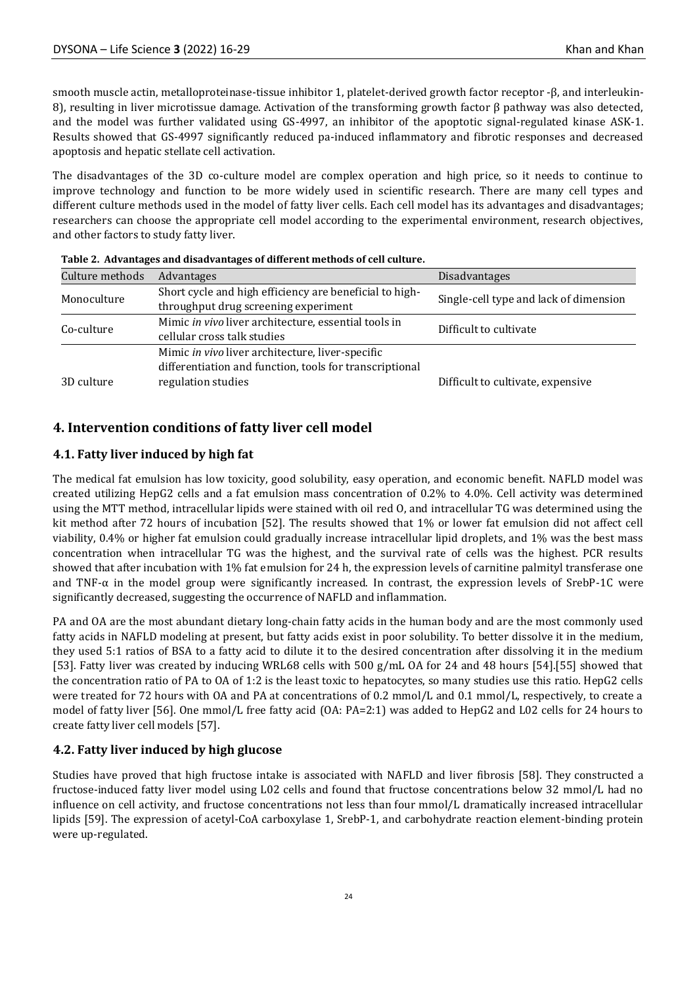smooth muscle actin, metalloproteinase-tissue inhibitor 1, platelet-derived growth factor receptor -β, and interleukin-8), resulting in liver microtissue damage. Activation of the transforming growth factor β pathway was also detected, and the model was further validated using GS-4997, an inhibitor of the apoptotic signal-regulated kinase ASK-1. Results showed that GS-4997 significantly reduced pa-induced inflammatory and fibrotic responses and decreased apoptosis and hepatic stellate cell activation.

The disadvantages of the 3D co-culture model are complex operation and high price, so it needs to continue to improve technology and function to be more widely used in scientific research. There are many cell types and different culture methods used in the model of fatty liver cells. Each cell model has its advantages and disadvantages; researchers can choose the appropriate cell model according to the experimental environment, research objectives, and other factors to study fatty liver.

| Culture methods | Advantages                                              | Disadvantages                          |  |
|-----------------|---------------------------------------------------------|----------------------------------------|--|
| Monoculture     | Short cycle and high efficiency are beneficial to high- | Single-cell type and lack of dimension |  |
|                 | throughput drug screening experiment                    |                                        |  |
| Co-culture      | Mimic in vivo liver architecture, essential tools in    | Difficult to cultivate                 |  |
|                 | cellular cross talk studies                             |                                        |  |
|                 | Mimic in vivo liver architecture, liver-specific        |                                        |  |
|                 | differentiation and function, tools for transcriptional |                                        |  |
| 3D culture      | regulation studies                                      | Difficult to cultivate, expensive      |  |

| Table 2. Advantages and disadvantages of different methods of cell culture. |  |  |  |
|-----------------------------------------------------------------------------|--|--|--|
|-----------------------------------------------------------------------------|--|--|--|

# **4. Intervention conditions of fatty liver cell model**

# **4.1. Fatty liver induced by high fat**

The medical fat emulsion has low toxicity, good solubility, easy operation, and economic benefit. NAFLD model was created utilizing HepG2 cells and a fat emulsion mass concentration of 0.2% to 4.0%. Cell activity was determined using the MTT method, intracellular lipids were stained with oil red O, and intracellular TG was determined using the kit method after 72 hours of incubation [52]. The results showed that 1% or lower fat emulsion did not affect cell viability, 0.4% or higher fat emulsion could gradually increase intracellular lipid droplets, and 1% was the best mass concentration when intracellular TG was the highest, and the survival rate of cells was the highest. PCR results showed that after incubation with 1% fat emulsion for 24 h, the expression levels of carnitine palmityl transferase one and TNF- $\alpha$  in the model group were significantly increased. In contrast, the expression levels of SrebP-1C were significantly decreased, suggesting the occurrence of NAFLD and inflammation.

PA and OA are the most abundant dietary long-chain fatty acids in the human body and are the most commonly used fatty acids in NAFLD modeling at present, but fatty acids exist in poor solubility. To better dissolve it in the medium, they used 5:1 ratios of BSA to a fatty acid to dilute it to the desired concentration after dissolving it in the medium [53]. Fatty liver was created by inducing WRL68 cells with 500 g/mL OA for 24 and 48 hours [54].[55] showed that the concentration ratio of PA to OA of 1:2 is the least toxic to hepatocytes, so many studies use this ratio. HepG2 cells were treated for 72 hours with OA and PA at concentrations of 0.2 mmol/L and 0.1 mmol/L, respectively, to create a model of fatty liver [56]. One mmol/L free fatty acid (OA: PA=2:1) was added to HepG2 and L02 cells for 24 hours to create fatty liver cell models [57].

#### **4.2. Fatty liver induced by high glucose**

Studies have proved that high fructose intake is associated with NAFLD and liver fibrosis [58]. They constructed a fructose-induced fatty liver model using L02 cells and found that fructose concentrations below 32 mmol/L had no influence on cell activity, and fructose concentrations not less than four mmol/L dramatically increased intracellular lipids [59]. The expression of acetyl-CoA carboxylase 1, SrebP-1, and carbohydrate reaction element-binding protein were up-regulated.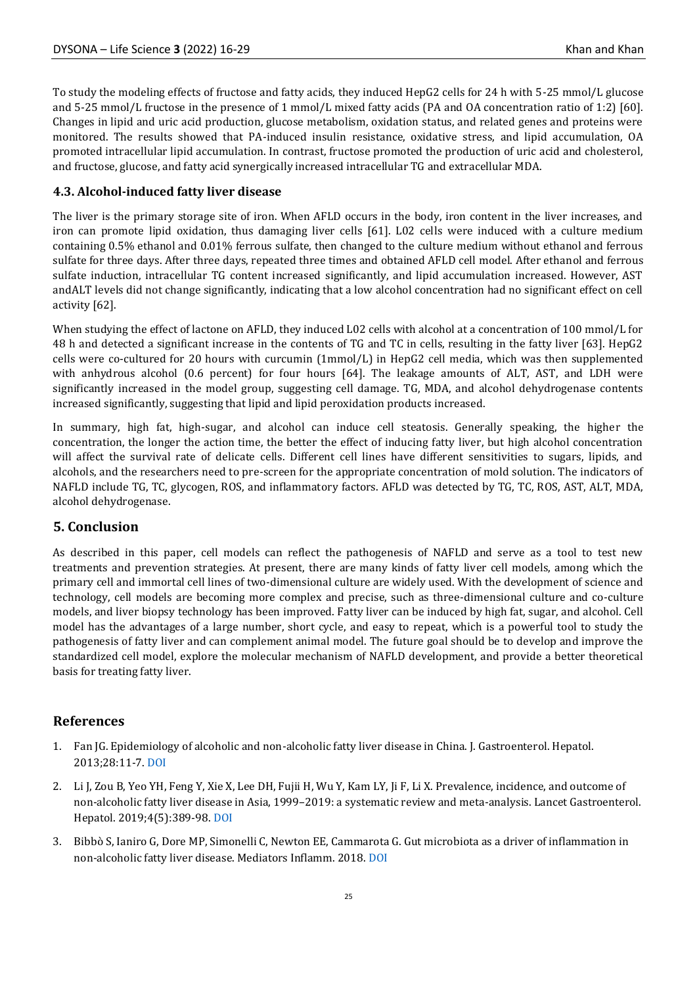To study the modeling effects of fructose and fatty acids, they induced HepG2 cells for 24 h with 5-25 mmol/L glucose and 5-25 mmol/L fructose in the presence of 1 mmol/L mixed fatty acids (PA and OA concentration ratio of 1:2) [60]. Changes in lipid and uric acid production, glucose metabolism, oxidation status, and related genes and proteins were monitored. The results showed that PA-induced insulin resistance, oxidative stress, and lipid accumulation, OA promoted intracellular lipid accumulation. In contrast, fructose promoted the production of uric acid and cholesterol, and fructose, glucose, and fatty acid synergically increased intracellular TG and extracellular MDA.

# **4.3. Alcohol-induced fatty liver disease**

The liver is the primary storage site of iron. When AFLD occurs in the body, iron content in the liver increases, and iron can promote lipid oxidation, thus damaging liver cells [61]. L02 cells were induced with a culture medium containing 0.5% ethanol and 0.01% ferrous sulfate, then changed to the culture medium without ethanol and ferrous sulfate for three days. After three days, repeated three times and obtained AFLD cell model. After ethanol and ferrous sulfate induction, intracellular TG content increased significantly, and lipid accumulation increased. However, AST andALT levels did not change significantly, indicating that a low alcohol concentration had no significant effect on cell activity [62].

When studying the effect of lactone on AFLD, they induced L02 cells with alcohol at a concentration of 100 mmol/L for 48 h and detected a significant increase in the contents of TG and TC in cells, resulting in the fatty liver [63]. HepG2 cells were co-cultured for 20 hours with curcumin (1mmol/L) in HepG2 cell media, which was then supplemented with anhydrous alcohol (0.6 percent) for four hours [64]. The leakage amounts of ALT, AST, and LDH were significantly increased in the model group, suggesting cell damage. TG, MDA, and alcohol dehydrogenase contents increased significantly, suggesting that lipid and lipid peroxidation products increased.

In summary, high fat, high-sugar, and alcohol can induce cell steatosis. Generally speaking, the higher the concentration, the longer the action time, the better the effect of inducing fatty liver, but high alcohol concentration will affect the survival rate of delicate cells. Different cell lines have different sensitivities to sugars, lipids, and alcohols, and the researchers need to pre-screen for the appropriate concentration of mold solution. The indicators of NAFLD include TG, TC, glycogen, ROS, and inflammatory factors. AFLD was detected by TG, TC, ROS, AST, ALT, MDA, alcohol dehydrogenase.

# **5. Conclusion**

As described in this paper, cell models can reflect the pathogenesis of NAFLD and serve as a tool to test new treatments and prevention strategies. At present, there are many kinds of fatty liver cell models, among which the primary cell and immortal cell lines of two-dimensional culture are widely used. With the development of science and technology, cell models are becoming more complex and precise, such as three-dimensional culture and co-culture models, and liver biopsy technology has been improved. Fatty liver can be induced by high fat, sugar, and alcohol. Cell model has the advantages of a large number, short cycle, and easy to repeat, which is a powerful tool to study the pathogenesis of fatty liver and can complement animal model. The future goal should be to develop and improve the standardized cell model, explore the molecular mechanism of NAFLD development, and provide a better theoretical basis for treating fatty liver.

# **References**

- 1. Fan JG. Epidemiology of alcoholic and non-alcoholic fatty liver disease in China. J. Gastroenterol. Hepatol. 2013;28:11-7. [DOI](https://doi.org/10.1111/jgh.12036)
- 2. Li J, Zou B, Yeo YH, Feng Y, Xie X, Lee DH, Fujii H, Wu Y, Kam LY, Ji F, Li X. Prevalence, incidence, and outcome of non-alcoholic fatty liver disease in Asia, 1999–2019: a systematic review and meta-analysis. Lancet Gastroenterol. Hepatol. 2019;4(5):389-98[. DOI](https://doi.org/10.1016/S2468-1253(19)30039-1)
- 3. Bibbò S, Ianiro G, Dore MP, Simonelli C, Newton EE, Cammarota G. Gut microbiota as a driver of inflammation in non-alcoholic fatty liver disease. Mediators Inflamm. 2018. [DOI](https://doi.org/10.1155/2018/9321643)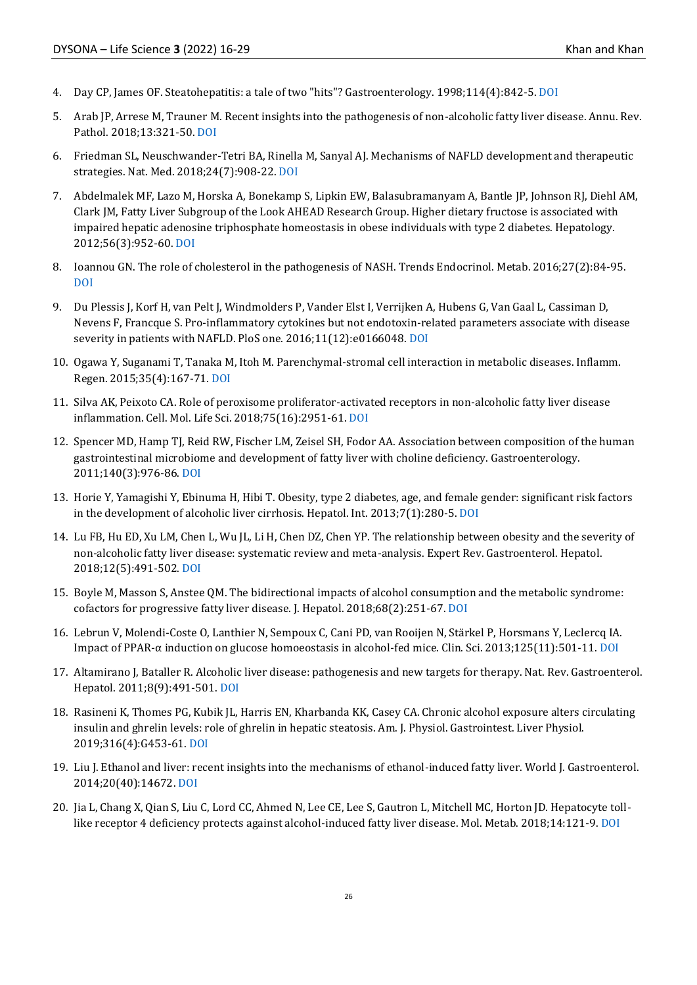- 4. Day CP, James OF. Steatohepatitis: a tale of two "hits"? Gastroenterology. 1998;114(4):842-5[. DOI](https://doi.org/10.1016/S0016-5085(98)70599-2)
- 5. Arab JP, Arrese M, Trauner M. Recent insights into the pathogenesis of non-alcoholic fatty liver disease. Annu. Rev. Pathol. 2018;13:321-50. [DOI](https://doi.org/10.1146/annurev-pathol-020117-043617)
- 6. Friedman SL, Neuschwander-Tetri BA, Rinella M, Sanyal AJ. Mechanisms of NAFLD development and therapeutic strategies. Nat. Med. 2018;24(7):908-22[. DOI](https://doi.org/10.1038/s41591-018-0104-9)
- 7. Abdelmalek MF, Lazo M, Horska A, Bonekamp S, Lipkin EW, Balasubramanyam A, Bantle JP, Johnson RJ, Diehl AM, Clark JM, Fatty Liver Subgroup of the Look AHEAD Research Group. Higher dietary fructose is associated with impaired hepatic adenosine triphosphate homeostasis in obese individuals with type 2 diabetes. Hepatology. 2012;56(3):952-60. [DOI](https://doi.org/10.1002/hep.25741)
- 8. Ioannou GN. The role of cholesterol in the pathogenesis of NASH. Trends Endocrinol. Metab. 2016;27(2):84-95. [DOI](https://doi.org/10.1016/j.tem.2015.11.008)
- 9. Du Plessis J, Korf H, van Pelt J, Windmolders P, Vander Elst I, Verrijken A, Hubens G, Van Gaal L, Cassiman D, Nevens F, Francque S. Pro-inflammatory cytokines but not endotoxin-related parameters associate with disease severity in patients with NAFLD. PloS one. 2016;11(12):e0166048[. DOI](https://doi.org/10.1371/journal.pone.0166048)
- 10. Ogawa Y, Suganami T, Tanaka M, Itoh M. Parenchymal-stromal cell interaction in metabolic diseases. Inflamm. Regen. 2015;35(4):167-71. [DOI](https://doi.org/10.2492/inflammregen.35.167)
- 11. Silva AK, Peixoto CA. Role of peroxisome proliferator-activated receptors in non-alcoholic fatty liver disease inflammation. Cell. Mol. Life Sci. 2018;75(16):2951-61[. DOI](https://doi.org/10.1007/s00018-018-2838-4)
- 12. Spencer MD, Hamp TJ, Reid RW, Fischer LM, Zeisel SH, Fodor AA. Association between composition of the human gastrointestinal microbiome and development of fatty liver with choline deficiency. Gastroenterology. 2011;140(3):976-86. [DOI](https://doi.org/10.1053/j.gastro.2010.11.049)
- 13. Horie Y, Yamagishi Y, Ebinuma H, Hibi T. Obesity, type 2 diabetes, age, and female gender: significant risk factors in the development of alcoholic liver cirrhosis. Hepatol. Int. 2013;7(1):280-5. [DOI](https://doi.org/10.1007/s12072-012-9347-6)
- 14. Lu FB, Hu ED, Xu LM, Chen L, Wu JL, Li H, Chen DZ, Chen YP. The relationship between obesity and the severity of non-alcoholic fatty liver disease: systematic review and meta-analysis. Expert Rev. Gastroenterol. Hepatol. 2018;12(5):491-502. [DOI](https://doi.org/10.1080/17474124.2018.1460202)
- 15. Boyle M, Masson S, Anstee QM. The bidirectional impacts of alcohol consumption and the metabolic syndrome: cofactors for progressive fatty liver disease. J. Hepatol. 2018;68(2):251-67[. DOI](https://doi.org/10.1016/j.jhep.2017.11.006)
- 16. Lebrun V, Molendi-Coste O, Lanthier N, Sempoux C, Cani PD, van Rooijen N, Stärkel P, Horsmans Y, Leclercq IA. Impact of PPAR-α induction on glucose homoeostasis in alcohol-fed mice. Clin. Sci. 2013;125(11):501-11[. DOI](https://doi.org/10.1042/CS20130064)
- 17. Altamirano J, Bataller R. Alcoholic liver disease: pathogenesis and new targets for therapy. Nat. Rev. Gastroenterol. Hepatol. 2011;8(9):491-501. [DOI](https://doi.org/10.1038/nrgastro.2011.134)
- 18. Rasineni K, Thomes PG, Kubik JL, Harris EN, Kharbanda KK, Casey CA. Chronic alcohol exposure alters circulating insulin and ghrelin levels: role of ghrelin in hepatic steatosis. Am. J. Physiol. Gastrointest. Liver Physiol. 2019;316(4):G453-61. [DOI](https://doi.org/10.1152/ajpgi.00334.2018)
- 19. Liu J. Ethanol and liver: recent insights into the mechanisms of ethanol-induced fatty liver. World J. Gastroenterol. 2014;20(40):14672[. DOI](https://doi.org/10.3748/wjg.v20.i40.14672)
- 20. Jia L, Chang X, Qian S, Liu C, Lord CC, Ahmed N, Lee CE, Lee S, Gautron L, Mitchell MC, Horton JD. Hepatocyte tolllike receptor 4 deficiency protects against alcohol-induced fatty liver disease. Mol. Metab. 2018;14:121-9[. DOI](https://doi.org/10.1016/j.molmet.2018.05.015)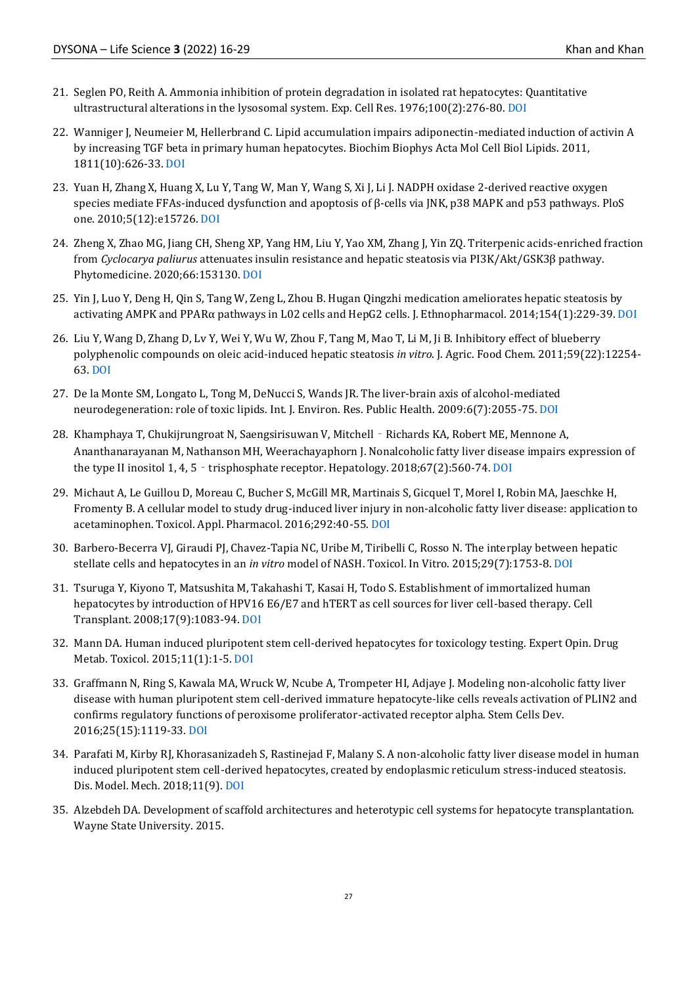- 21. Seglen PO, Reith A. Ammonia inhibition of protein degradation in isolated rat hepatocytes: Quantitative ultrastructural alterations in the lysosomal system. Exp. Cell Res. 1976;100(2):276-80[. DOI](https://doi.org/10.1016/0014-4827(76)90148-8)
- 22. Wanniger J, Neumeier M, Hellerbrand C. Lipid accumulation impairs adiponectin-mediated induction of activin A by increasing TGF beta in primary human hepatocytes. Biochim Biophys Acta Mol Cell Biol Lipids. 2011, 1811(10):626-33. [DOI](https://doi.org/10.1016/j.bbalip.2010.11.001)
- 23. Yuan H, Zhang X, Huang X, Lu Y, Tang W, Man Y, Wang S, Xi J, Li J. NADPH oxidase 2-derived reactive oxygen species mediate FFAs-induced dysfunction and apoptosis of β-cells via JNK, p38 MAPK and p53 pathways. PloS one. 2010;5(12):e15726. [DOI](https://doi.org/10.1371/journal.pone.0015726)
- 24. Zheng X, Zhao MG, Jiang CH, Sheng XP, Yang HM, Liu Y, Yao XM, Zhang J, Yin ZQ. Triterpenic acids-enriched fraction from *Cyclocarya paliurus* attenuates insulin resistance and hepatic steatosis via PI3K/Akt/GSK3β pathway. Phytomedicine. 2020;66:153130[. DOI](https://doi.org/10.1016/j.phymed.2019.153130)
- 25. Yin J, Luo Y, Deng H, Qin S, Tang W, Zeng L, Zhou B. Hugan Qingzhi medication ameliorates hepatic steatosis by activating AMPK and PPARα pathways in L02 cells and HepG2 cells. J. Ethnopharmacol. 2014;154(1):229-39. [DOI](https://doi.org/10.1016/j.jep.2014.04.011)
- 26. Liu Y, Wang D, Zhang D, Lv Y, Wei Y, Wu W, Zhou F, Tang M, Mao T, Li M, Ji B. Inhibitory effect of blueberry polyphenolic compounds on oleic acid-induced hepatic steatosis *in vitro*. J. Agric. Food Chem. 2011;59(22):12254- 63[. DOI](https://doi.org/10.1021/jf203136j)
- 27. De la Monte SM, Longato L, Tong M, DeNucci S, Wands JR. The liver-brain axis of alcohol-mediated neurodegeneration: role of toxic lipids. Int. J. Environ. Res. Public Health. 2009:6(7):2055-75. [DOI](https://doi.org/10.3390/ijerph6072055)
- 28. Khamphaya T, Chukijrungroat N, Saengsirisuwan V, Mitchell Richards KA, Robert ME, Mennone A, Ananthanarayanan M, Nathanson MH, Weerachayaphorn J. Nonalcoholic fatty liver disease impairs expression of the type II inositol 1, 4, 5  $\cdot$  trisphosphate receptor. Hepatology. 2018;67(2):560-74[. DOI](https://doi.org/10.1002/hep.29588)
- 29. Michaut A, Le Guillou D, Moreau C, Bucher S, McGill MR, Martinais S, Gicquel T, Morel I, Robin MA, Jaeschke H, Fromenty B. A cellular model to study drug-induced liver injury in non-alcoholic fatty liver disease: application to acetaminophen. Toxicol. Appl. Pharmacol. 2016;292:40-55[. DOI](https://doi.org/10.1016/j.taap.2015.12.020)
- 30. Barbero-Becerra VJ, Giraudi PJ, Chavez-Tapia NC, Uribe M, Tiribelli C, Rosso N. The interplay between hepatic stellate cells and hepatocytes in an *in vitro* model of NASH. Toxicol. In Vitro. 2015;29(7):1753-8[. DOI](https://doi.org/10.1016/j.tiv.2015.07.010)
- 31. Tsuruga Y, Kiyono T, Matsushita M, Takahashi T, Kasai H, Todo S. Establishment of immortalized human hepatocytes by introduction of HPV16 E6/E7 and hTERT as cell sources for liver cell-based therapy. Cell Transplant. 2008;17(9):1083-94. [DOI](https://doi.org/10.3727/096368908786991542)
- 32. Mann DA. Human induced pluripotent stem cell-derived hepatocytes for toxicology testing. Expert Opin. Drug Metab. Toxicol. 2015;11(1):1-5[. DOI](https://doi.org/10.1517/17425255.2015.981523)
- 33. Graffmann N, Ring S, Kawala MA, Wruck W, Ncube A, Trompeter HI, Adjaye J. Modeling non-alcoholic fatty liver disease with human pluripotent stem cell-derived immature hepatocyte-like cells reveals activation of PLIN2 and confirms regulatory functions of peroxisome proliferator-activated receptor alpha. Stem Cells Dev. 2016;25(15):1119-33[. DOI](https://doi.org/10.1089/scd.2015.0383)
- 34. Parafati M, Kirby RJ, Khorasanizadeh S, Rastinejad F, Malany S. A non-alcoholic fatty liver disease model in human induced pluripotent stem cell-derived hepatocytes, created by endoplasmic reticulum stress-induced steatosis. Dis. Model. Mech. 2018;11(9)[. DOI](https://doi.org/10.1242/dmm.033530)
- 35. Alzebdeh DA. Development of scaffold architectures and heterotypic cell systems for hepatocyte transplantation. Wayne State University. 2015.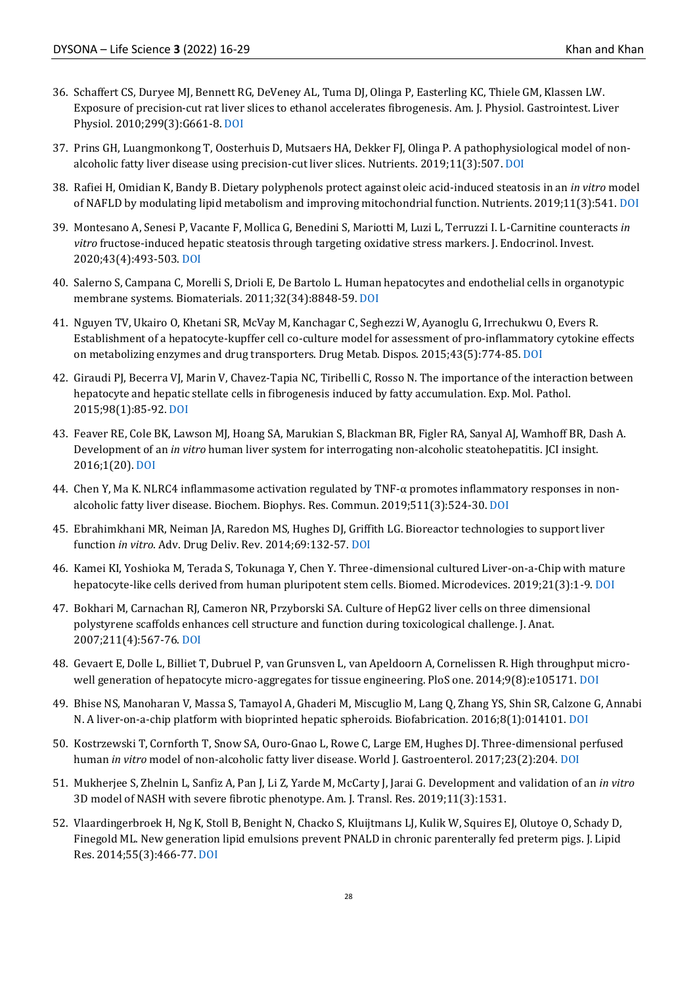- 36. Schaffert CS, Duryee MJ, Bennett RG, DeVeney AL, Tuma DJ, Olinga P, Easterling KC, Thiele GM, Klassen LW. Exposure of precision-cut rat liver slices to ethanol accelerates fibrogenesis. Am. J. Physiol. Gastrointest. Liver Physiol. 2010;299(3):G661-8. [DOI](https://doi.org/10.1152/ajpgi.00287.2009)
- 37. Prins GH, Luangmonkong T, Oosterhuis D, Mutsaers HA, Dekker FJ, Olinga P. A pathophysiological model of nonalcoholic fatty liver disease using precision-cut liver slices. Nutrients. 2019;11(3):507. [DOI](https://doi.org/10.3390/nu11030507)
- 38. Rafiei H, Omidian K, Bandy B. Dietary polyphenols protect against oleic acid-induced steatosis in an *in vitro* model of NAFLD by modulating lipid metabolism and improving mitochondrial function. Nutrients. 2019;11(3):541[. DOI](https://doi.org/10.3390/nu11030541)
- 39. Montesano A, Senesi P, Vacante F, Mollica G, Benedini S, Mariotti M, Luzi L, Terruzzi I. L-Carnitine counteracts *in vitro* fructose-induced hepatic steatosis through targeting oxidative stress markers. J. Endocrinol. Invest. 2020;43(4):493-503. [DOI](https://doi.org/10.1007/s40618-019-01134-2)
- 40. Salerno S, Campana C, Morelli S, Drioli E, De Bartolo L. Human hepatocytes and endothelial cells in organotypic membrane systems. Biomaterials. 2011;32(34):8848-59[. DOI](https://doi.org/10.1016/j.biomaterials.2011.08.004)
- 41. Nguyen TV, Ukairo O, Khetani SR, McVay M, Kanchagar C, Seghezzi W, Ayanoglu G, Irrechukwu O, Evers R. Establishment of a hepatocyte-kupffer cell co-culture model for assessment of pro-inflammatory cytokine effects on metabolizing enzymes and drug transporters. Drug Metab. Dispos. 2015;43(5):774-85[. DOI](https://doi.org/https:/doi.org/10.1124/dmd.114.061317)
- 42. Giraudi PJ, Becerra VJ, Marin V, Chavez-Tapia NC, Tiribelli C, Rosso N. The importance of the interaction between hepatocyte and hepatic stellate cells in fibrogenesis induced by fatty accumulation. Exp. Mol. Pathol. 2015;98(1):85-92[. DOI](https://doi.org/10.1016/j.yexmp.2014.12.006)
- 43. Feaver RE, Cole BK, Lawson MJ, Hoang SA, Marukian S, Blackman BR, Figler RA, Sanyal AJ, Wamhoff BR, Dash A. Development of an *in vitro* human liver system for interrogating non-alcoholic steatohepatitis. JCI insight. 2016;1(20)[. DOI](https://doi.org/10.1172/jci.insight.90954)
- 44. Chen Y, Ma K. NLRC4 inflammasome activation regulated by TNF-α promotes inflammatory responses in nonalcoholic fatty liver disease. Biochem. Biophys. Res. Commun. 2019;511(3):524-30[. DOI](https://doi.org/10.1016/j.bbrc.2019.02.099)
- 45. Ebrahimkhani MR, Neiman JA, Raredon MS, Hughes DJ, Griffith LG. Bioreactor technologies to support liver function *in vitro*. Adv. Drug Deliv. Rev. 2014;69:132-57[. DOI](https://doi.org/10.1016/j.addr.2014.02.011)
- 46. Kamei KI, Yoshioka M, Terada S, Tokunaga Y, Chen Y. Three-dimensional cultured Liver-on-a-Chip with mature hepatocyte-like cells derived from human pluripotent stem cells. Biomed. Microdevices. 2019;21(3):1-9[. DOI](https://doi.org/10.1007/s10544-019-0423-8)
- 47. Bokhari M, Carnachan RJ, Cameron NR, Przyborski SA. Culture of HepG2 liver cells on three dimensional polystyrene scaffolds enhances cell structure and function during toxicological challenge. J. Anat. 2007;211(4):567-76. [DOI](https://doi.org/10.1111/j.1469-7580.2007.00778.x)
- 48. Gevaert E, Dolle L, Billiet T, Dubruel P, van Grunsven L, van Apeldoorn A, Cornelissen R. High throughput microwell generation of hepatocyte micro-aggregates for tissue engineering. PloS one. 2014;9(8):e105171. [DOI](https://doi.org/10.1371/journal.pone.0105171)
- 49. Bhise NS, Manoharan V, Massa S, Tamayol A, Ghaderi M, Miscuglio M, Lang Q, Zhang YS, Shin SR, Calzone G, Annabi N. A liver-on-a-chip platform with bioprinted hepatic spheroids. Biofabrication. 2016;8(1):014101. [DOI](https://doi.org/10.1088/1758-5090/8/1/014101)
- 50. Kostrzewski T, Cornforth T, Snow SA, Ouro-Gnao L, Rowe C, Large EM, Hughes DJ. Three-dimensional perfused human *in vitro* model of non-alcoholic fatty liver disease. World J. Gastroenterol. 2017;23(2):204. [DOI](https://doi.org/10.3748/wjg.v23.i2.204)
- 51. Mukherjee S, Zhelnin L, Sanfiz A, Pan J, Li Z, Yarde M, McCarty J, Jarai G. Development and validation of an *in vitro*  3D model of NASH with severe fibrotic phenotype. Am. J. Transl. Res. 2019;11(3):1531.
- 52. Vlaardingerbroek H, Ng K, Stoll B, Benight N, Chacko S, Kluijtmans LJ, Kulik W, Squires EJ, Olutoye O, Schady D, Finegold ML. New generation lipid emulsions prevent PNALD in chronic parenterally fed preterm pigs. J. Lipid Res. 2014;55(3):466-77. [DOI](https://doi.org/10.1194/jlr.M044545)